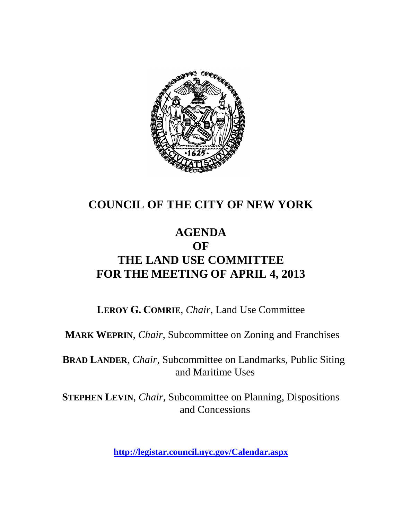

## **COUNCIL OF THE CITY OF NEW YORK**

### **AGENDA OF THE LAND USE COMMITTEE FOR THE MEETING OF APRIL 4, 2013**

**LEROY G. COMRIE**, *Chair*, Land Use Committee

**MARK WEPRIN**, *Chair*, Subcommittee on Zoning and Franchises

**BRAD LANDER**, *Chair*, Subcommittee on Landmarks, Public Siting and Maritime Uses

**STEPHEN LEVIN**, *Chair,* Subcommittee on Planning, Dispositions and Concessions

**<http://legistar.council.nyc.gov/Calendar.aspx>**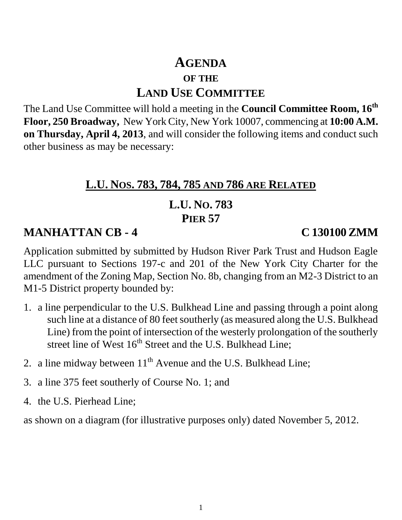# **AGENDA OF THE LAND USE COMMITTEE**

The Land Use Committee will hold a meeting in the **Council Committee Room, 16th Floor, 250 Broadway,** New York City, New York 10007, commencing at **10:00 A.M. on Thursday, April 4, 2013**, and will consider the following items and conduct such other business as may be necessary:

#### **L.U. NOS. 783, 784, 785 AND 786 ARE RELATED**

## **L.U. NO. 783 PIER 57**

## **MANHATTAN CB - 4 C 130100ZMM**

Application submitted by submitted by Hudson River Park Trust and Hudson Eagle LLC pursuant to Sections 197-c and 201 of the New York City Charter for the amendment of the Zoning Map, Section No. 8b, changing from an M2-3 District to an M1-5 District property bounded by:

- 1. a line perpendicular to the U.S. Bulkhead Line and passing through a point along such line at a distance of 80 feet southerly (as measured along the U.S. Bulkhead Line) from the point of intersection of the westerly prolongation of the southerly street line of West  $16<sup>th</sup>$  Street and the U.S. Bulkhead Line;
- 2. a line midway between  $11<sup>th</sup>$  Avenue and the U.S. Bulkhead Line;
- 3. a line 375 feet southerly of Course No. 1; and
- 4. the U.S. Pierhead Line;

as shown on a diagram (for illustrative purposes only) dated November 5, 2012.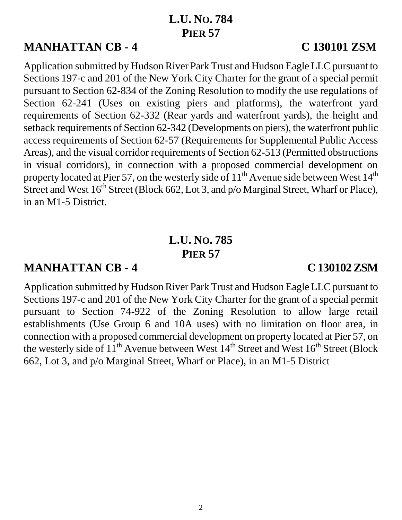### **L.U. NO. 784 PIER 57**

## **MANHATTAN CB - 4 C 130101 ZSM**

Application submitted by Hudson River Park Trust and Hudson Eagle LLC pursuant to Sections 197-c and 201 of the New York City Charter for the grant of a special permit pursuant to Section 62-834 of the Zoning Resolution to modify the use regulations of Section 62-241 (Uses on existing piers and platforms), the waterfront yard requirements of Section 62-332 (Rear yards and waterfront yards), the height and setback requirements of Section 62-342 (Developments on piers), the waterfront public access requirements of Section 62-57 (Requirements for Supplemental Public Access Areas), and the visual corridor requirements of Section 62-513 (Permitted obstructions in visual corridors), in connection with a proposed commercial development on property located at Pier 57, on the westerly side of  $11<sup>th</sup>$  Avenue side between West  $14<sup>th</sup>$ Street and West 16<sup>th</sup> Street (Block 662, Lot 3, and p/o Marginal Street, Wharf or Place), in an M1-5 District.

## **L.U. NO. 785 PIER 57**

#### **MANHATTAN CB - 4 C 130102ZSM**

Application submitted by Hudson River Park Trust and Hudson Eagle LLC pursuant to Sections 197-c and 201 of the New York City Charter for the grant of a special permit pursuant to Section 74-922 of the Zoning Resolution to allow large retail establishments (Use Group 6 and 10A uses) with no limitation on floor area, in connection with a proposed commercial development on property located at Pier 57, on the westerly side of  $11^{th}$  Avenue between West  $14^{th}$  Street and West  $16^{th}$  Street (Block 662, Lot 3, and p/o Marginal Street, Wharf or Place), in an M1-5 District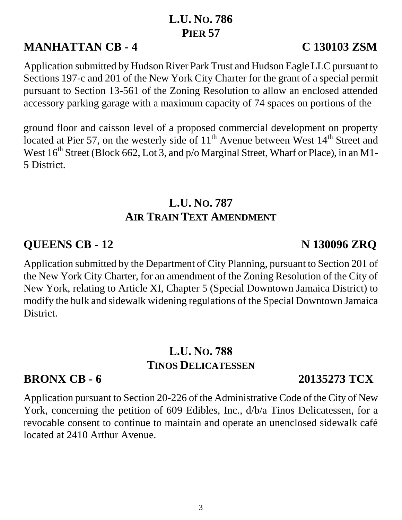## **L.U. NO. 786 PIER 57**

# **MANHATTAN CB - 4 C 130103 ZSM**

Application submitted by Hudson River Park Trust and Hudson Eagle LLC pursuant to Sections 197-c and 201 of the New York City Charter for the grant of a special permit pursuant to Section 13-561 of the Zoning Resolution to allow an enclosed attended accessory parking garage with a maximum capacity of 74 spaces on portions of the

ground floor and caisson level of a proposed commercial development on property located at Pier 57, on the westerly side of  $11<sup>th</sup>$  Avenue between West  $14<sup>th</sup>$  Street and West  $16<sup>th</sup>$  Street (Block 662, Lot 3, and  $p/o$  Marginal Street, Wharf or Place), in an M1-5 District.

## **L.U. NO. 787 AIR TRAIN TEXT AMENDMENT**

### **QUEENS CB - 12** N 130096 ZRQ

Application submitted by the Department of City Planning, pursuant to Section 201 of the New York City Charter, for an amendment of the Zoning Resolution of the City of New York, relating to Article XI, Chapter 5 (Special Downtown Jamaica District) to modify the bulk and sidewalk widening regulations of the Special Downtown Jamaica District.

## **L.U. NO. 788 TINOS DELICATESSEN**

# **BRONX CB - 6 20135273 TCX**

Application pursuant to Section 20-226 of the Administrative Code of the City of New York, concerning the petition of 609 Edibles, Inc., d/b/a Tinos Delicatessen, for a revocable consent to continue to maintain and operate an unenclosed sidewalk café located at 2410 Arthur Avenue.